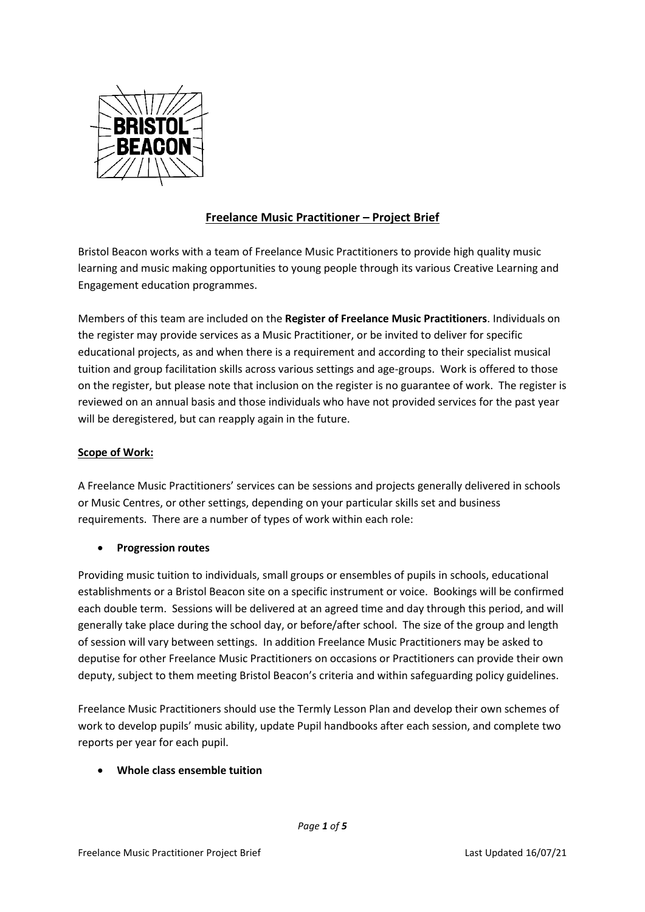

# **Freelance Music Practitioner – Project Brief**

Bristol Beacon works with a team of Freelance Music Practitioners to provide high quality music learning and music making opportunities to young people through its various Creative Learning and Engagement education programmes.

Members of this team are included on the **Register of Freelance Music Practitioners**. Individuals on the register may provide services as a Music Practitioner, or be invited to deliver for specific educational projects, as and when there is a requirement and according to their specialist musical tuition and group facilitation skills across various settings and age-groups. Work is offered to those on the register, but please note that inclusion on the register is no guarantee of work. The register is reviewed on an annual basis and those individuals who have not provided services for the past year will be deregistered, but can reapply again in the future.

# **Scope of Work:**

A Freelance Music Practitioners' services can be sessions and projects generally delivered in schools or Music Centres, or other settings, depending on your particular skills set and business requirements. There are a number of types of work within each role:

# • **Progression routes**

Providing music tuition to individuals, small groups or ensembles of pupils in schools, educational establishments or a Bristol Beacon site on a specific instrument or voice. Bookings will be confirmed each double term. Sessions will be delivered at an agreed time and day through this period, and will generally take place during the school day, or before/after school. The size of the group and length of session will vary between settings. In addition Freelance Music Practitioners may be asked to deputise for other Freelance Music Practitioners on occasions or Practitioners can provide their own deputy, subject to them meeting Bristol Beacon's criteria and within safeguarding policy guidelines.

Freelance Music Practitioners should use the Termly Lesson Plan and develop their own schemes of work to develop pupils' music ability, update Pupil handbooks after each session, and complete two reports per year for each pupil.

# • **Whole class ensemble tuition**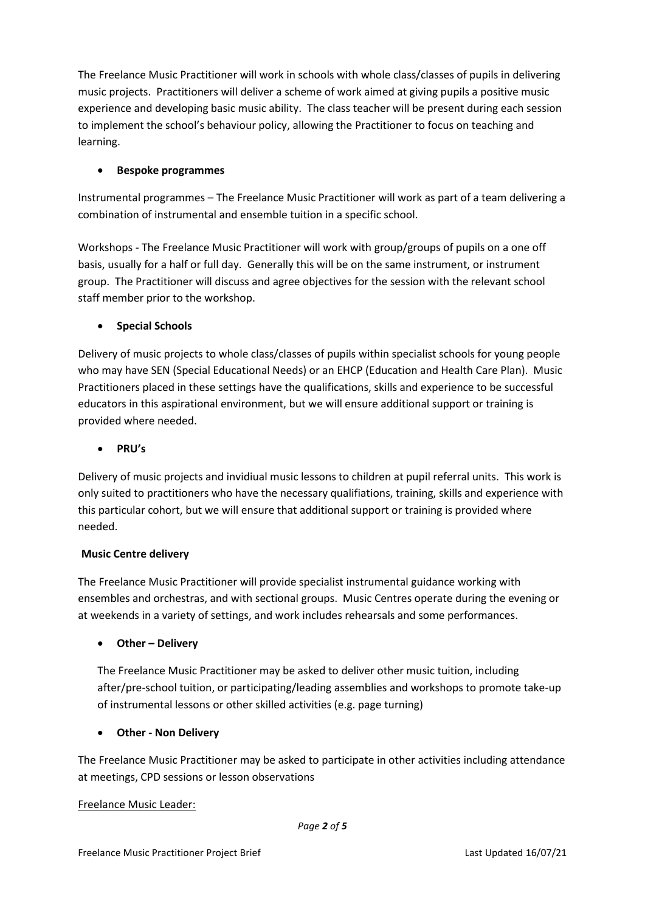The Freelance Music Practitioner will work in schools with whole class/classes of pupils in delivering music projects. Practitioners will deliver a scheme of work aimed at giving pupils a positive music experience and developing basic music ability. The class teacher will be present during each session to implement the school's behaviour policy, allowing the Practitioner to focus on teaching and learning.

# • **Bespoke programmes**

Instrumental programmes – The Freelance Music Practitioner will work as part of a team delivering a combination of instrumental and ensemble tuition in a specific school.

Workshops - The Freelance Music Practitioner will work with group/groups of pupils on a one off basis, usually for a half or full day. Generally this will be on the same instrument, or instrument group. The Practitioner will discuss and agree objectives for the session with the relevant school staff member prior to the workshop.

# • **Special Schools**

Delivery of music projects to whole class/classes of pupils within specialist schools for young people who may have SEN (Special Educational Needs) or an EHCP (Education and Health Care Plan). Music Practitioners placed in these settings have the qualifications, skills and experience to be successful educators in this aspirational environment, but we will ensure additional support or training is provided where needed.

# • **PRU's**

Delivery of music projects and invidiual music lessons to children at pupil referral units. This work is only suited to practitioners who have the necessary qualifiations, training, skills and experience with this particular cohort, but we will ensure that additional support or training is provided where needed.

# **Music Centre delivery**

The Freelance Music Practitioner will provide specialist instrumental guidance working with ensembles and orchestras, and with sectional groups. Music Centres operate during the evening or at weekends in a variety of settings, and work includes rehearsals and some performances.

# • **Other – Delivery**

The Freelance Music Practitioner may be asked to deliver other music tuition, including after/pre-school tuition, or participating/leading assemblies and workshops to promote take-up of instrumental lessons or other skilled activities (e.g. page turning)

# • **Other - Non Delivery**

The Freelance Music Practitioner may be asked to participate in other activities including attendance at meetings, CPD sessions or lesson observations

# Freelance Music Leader: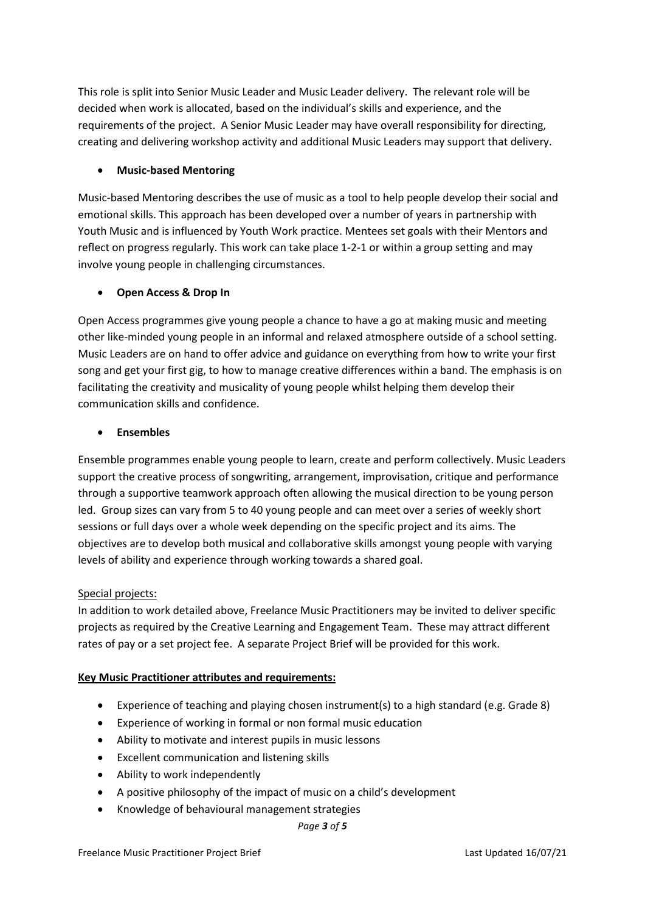This role is split into Senior Music Leader and Music Leader delivery. The relevant role will be decided when work is allocated, based on the individual's skills and experience, and the requirements of the project. A Senior Music Leader may have overall responsibility for directing, creating and delivering workshop activity and additional Music Leaders may support that delivery.

# • **Music-based Mentoring**

Music-based Mentoring describes the use of music as a tool to help people develop their social and emotional skills. This approach has been developed over a number of years in partnership with Youth Music and is influenced by Youth Work practice. Mentees set goals with their Mentors and reflect on progress regularly. This work can take place 1-2-1 or within a group setting and may involve young people in challenging circumstances.

# • **Open Access & Drop In**

Open Access programmes give young people a chance to have a go at making music and meeting other like-minded young people in an informal and relaxed atmosphere outside of a school setting. Music Leaders are on hand to offer advice and guidance on everything from how to write your first song and get your first gig, to how to manage creative differences within a band. The emphasis is on facilitating the creativity and musicality of young people whilst helping them develop their communication skills and confidence.

# • **Ensembles**

Ensemble programmes enable young people to learn, create and perform collectively. Music Leaders support the creative process of songwriting, arrangement, improvisation, critique and performance through a supportive teamwork approach often allowing the musical direction to be young person led. Group sizes can vary from 5 to 40 young people and can meet over a series of weekly short sessions or full days over a whole week depending on the specific project and its aims. The objectives are to develop both musical and collaborative skills amongst young people with varying levels of ability and experience through working towards a shared goal.

# Special projects:

In addition to work detailed above, Freelance Music Practitioners may be invited to deliver specific projects as required by the Creative Learning and Engagement Team. These may attract different rates of pay or a set project fee. A separate Project Brief will be provided for this work.

# **Key Music Practitioner attributes and requirements:**

- Experience of teaching and playing chosen instrument(s) to a high standard (e.g. Grade 8)
- Experience of working in formal or non formal music education
- Ability to motivate and interest pupils in music lessons
- Excellent communication and listening skills
- Ability to work independently
- A positive philosophy of the impact of music on a child's development
- Knowledge of behavioural management strategies

#### *Page 3 of 5*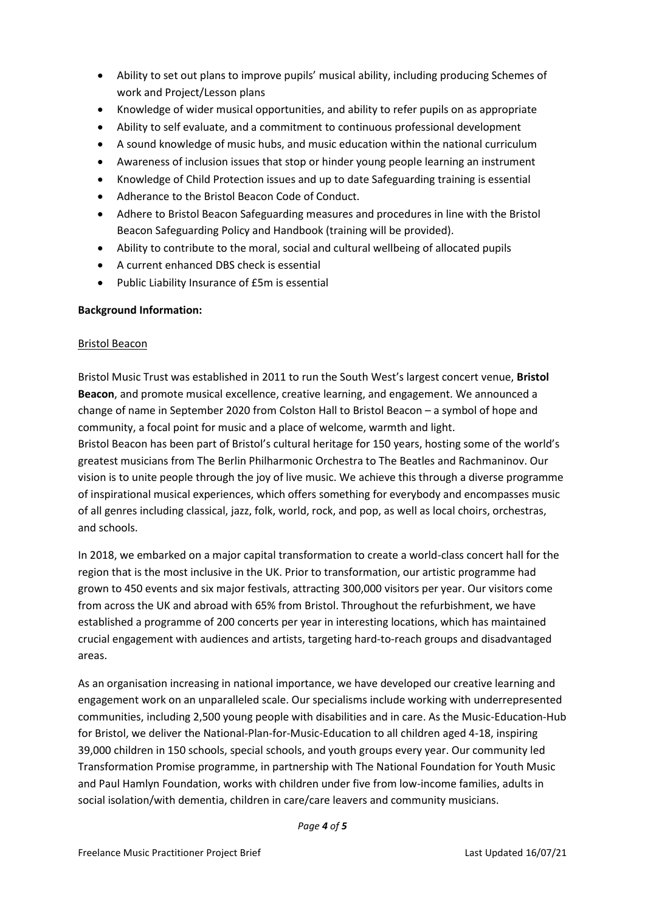- Ability to set out plans to improve pupils' musical ability, including producing Schemes of work and Project/Lesson plans
- Knowledge of wider musical opportunities, and ability to refer pupils on as appropriate
- Ability to self evaluate, and a commitment to continuous professional development
- A sound knowledge of music hubs, and music education within the national curriculum
- Awareness of inclusion issues that stop or hinder young people learning an instrument
- Knowledge of Child Protection issues and up to date Safeguarding training is essential
- Adherance to the Bristol Beacon Code of Conduct.
- Adhere to Bristol Beacon Safeguarding measures and procedures in line with the Bristol Beacon Safeguarding Policy and Handbook (training will be provided).
- Ability to contribute to the moral, social and cultural wellbeing of allocated pupils
- A current enhanced DBS check is essential
- Public Liability Insurance of £5m is essential

#### **Background Information:**

#### Bristol Beacon

Bristol Music Trust was established in 2011 to run the South West's largest concert venue, **Bristol Beacon**, and promote musical excellence, creative learning, and engagement. We announced a change of name in September 2020 from Colston Hall to Bristol Beacon – a symbol of hope and community, a focal point for music and a place of welcome, warmth and light.

Bristol Beacon has been part of Bristol's cultural heritage for 150 years, hosting some of the world's greatest musicians from The Berlin Philharmonic Orchestra to The Beatles and Rachmaninov. Our vision is to unite people through the joy of live music. We achieve this through a diverse programme of inspirational musical experiences, which offers something for everybody and encompasses music of all genres including classical, jazz, folk, world, rock, and pop, as well as local choirs, orchestras, and schools.

In 2018, we embarked on a major capital transformation to create a world-class concert hall for the region that is the most inclusive in the UK. Prior to transformation, our artistic programme had grown to 450 events and six major festivals, attracting 300,000 visitors per year. Our visitors come from across the UK and abroad with 65% from Bristol. Throughout the refurbishment, we have established a programme of 200 concerts per year in interesting locations, which has maintained crucial engagement with audiences and artists, targeting hard-to-reach groups and disadvantaged areas.

As an organisation increasing in national importance, we have developed our creative learning and engagement work on an unparalleled scale. Our specialisms include working with underrepresented communities, including 2,500 young people with disabilities and in care. As the Music-Education-Hub for Bristol, we deliver the National-Plan-for-Music-Education to all children aged 4-18, inspiring 39,000 children in 150 schools, special schools, and youth groups every year. Our community led Transformation Promise programme, in partnership with The National Foundation for Youth Music and Paul Hamlyn Foundation, works with children under five from low-income families, adults in social isolation/with dementia, children in care/care leavers and community musicians.